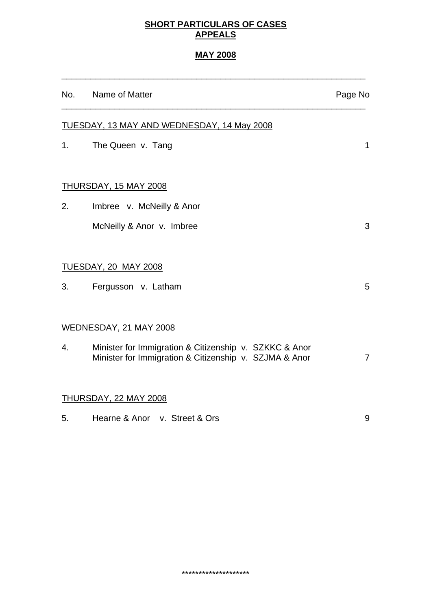# **SHORT PARTICULARS OF CASES APPEALS**

# **MAY 2008**

\_\_\_\_\_\_\_\_\_\_\_\_\_\_\_\_\_\_\_\_\_\_\_\_\_\_\_\_\_\_\_\_\_\_\_\_\_\_\_\_\_\_\_\_\_\_\_\_\_\_\_\_\_\_\_\_\_\_\_\_\_\_\_

| No.            | Name of Matter                                                                                                   | Page No        |
|----------------|------------------------------------------------------------------------------------------------------------------|----------------|
|                | TUESDAY, 13 MAY AND WEDNESDAY, 14 May 2008                                                                       |                |
| 1 <sub>1</sub> | The Queen v. Tang                                                                                                | $\mathbf 1$    |
|                | <u>THURSDAY, 15 MAY 2008</u>                                                                                     |                |
| 2.             | Imbree v. McNeilly & Anor                                                                                        |                |
|                | McNeilly & Anor v. Imbree                                                                                        | 3              |
|                |                                                                                                                  |                |
|                | <b>TUESDAY, 20 MAY 2008</b>                                                                                      |                |
| 3.             | Fergusson v. Latham                                                                                              | 5              |
|                | WEDNESDAY, 21 MAY 2008                                                                                           |                |
| 4.             | Minister for Immigration & Citizenship v. SZKKC & Anor<br>Minister for Immigration & Citizenship v. SZJMA & Anor | $\overline{7}$ |
|                | THURSDAY, 22 MAY 2008                                                                                            |                |
| 5.             | Hearne & Anor v. Street & Ors                                                                                    | 9              |
|                |                                                                                                                  |                |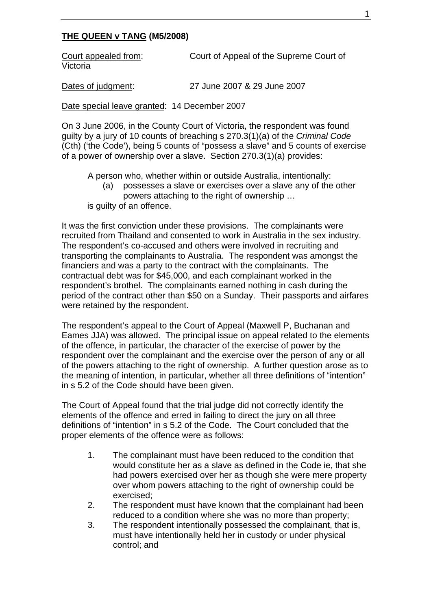### **THE QUEEN v TANG (M5/2008)**

| Court appealed from:<br>Victoria | Court of Appeal of the Supreme Court of |
|----------------------------------|-----------------------------------------|
| Dates of judgment:               | 27 June 2007 & 29 June 2007             |

Date special leave granted: 14 December 2007

On 3 June 2006, in the County Court of Victoria, the respondent was found guilty by a jury of 10 counts of breaching s 270.3(1)(a) of the *Criminal Code* (Cth) ('the Code'), being 5 counts of "possess a slave" and 5 counts of exercise of a power of ownership over a slave. Section 270.3(1)(a) provides:

A person who, whether within or outside Australia, intentionally: (a) possesses a slave or exercises over a slave any of the other powers attaching to the right of ownership … is guilty of an offence.

It was the first conviction under these provisions. The complainants were recruited from Thailand and consented to work in Australia in the sex industry. The respondent's co-accused and others were involved in recruiting and transporting the complainants to Australia. The respondent was amongst the financiers and was a party to the contract with the complainants. The contractual debt was for \$45,000, and each complainant worked in the respondent's brothel. The complainants earned nothing in cash during the period of the contract other than \$50 on a Sunday. Their passports and airfares were retained by the respondent.

The respondent's appeal to the Court of Appeal (Maxwell P, Buchanan and Eames JJA) was allowed. The principal issue on appeal related to the elements of the offence, in particular, the character of the exercise of power by the respondent over the complainant and the exercise over the person of any or all of the powers attaching to the right of ownership. A further question arose as to the meaning of intention, in particular, whether all three definitions of "intention" in s 5.2 of the Code should have been given.

The Court of Appeal found that the trial judge did not correctly identify the elements of the offence and erred in failing to direct the jury on all three definitions of "intention" in s 5.2 of the Code. The Court concluded that the proper elements of the offence were as follows:

- 1. The complainant must have been reduced to the condition that would constitute her as a slave as defined in the Code ie, that she had powers exercised over her as though she were mere property over whom powers attaching to the right of ownership could be exercised;
- 2. The respondent must have known that the complainant had been reduced to a condition where she was no more than property;
- 3. The respondent intentionally possessed the complainant, that is, must have intentionally held her in custody or under physical control; and

1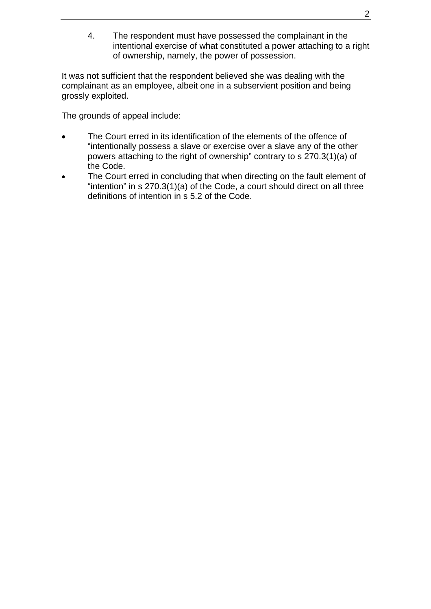4. The respondent must have possessed the complainant in the intentional exercise of what constituted a power attaching to a right of ownership, namely, the power of possession.

It was not sufficient that the respondent believed she was dealing with the complainant as an employee, albeit one in a subservient position and being grossly exploited.

The grounds of appeal include:

- The Court erred in its identification of the elements of the offence of "intentionally possess a slave or exercise over a slave any of the other powers attaching to the right of ownership" contrary to s 270.3(1)(a) of the Code.
- The Court erred in concluding that when directing on the fault element of "intention" in s 270.3(1)(a) of the Code, a court should direct on all three definitions of intention in s 5.2 of the Code.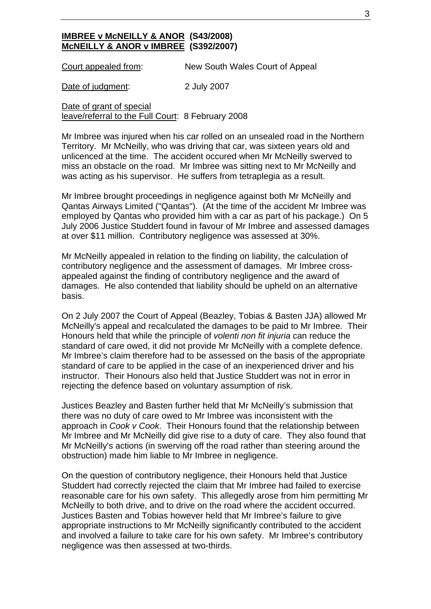#### **IMBREE v McNEILLY & ANOR (S43/2008) McNEILLY & ANOR v IMBREE (S392/2007)**

Court appealed from: New South Wales Court of Appeal

Date of judgment: 2 July 2007

Date of grant of special leave/referral to the Full Court: 8 February 2008

Mr Imbree was injured when his car rolled on an unsealed road in the Northern Territory. Mr McNeilly, who was driving that car, was sixteen years old and unlicenced at the time. The accident occured when Mr McNeilly swerved to miss an obstacle on the road. Mr Imbree was sitting next to Mr McNeilly and was acting as his supervisor. He suffers from tetraplegia as a result.

Mr Imbree brought proceedings in negligence against both Mr McNeilly and Qantas Airways Limited ("Qantas"). (At the time of the accident Mr Imbree was employed by Qantas who provided him with a car as part of his package.) On 5 July 2006 Justice Studdert found in favour of Mr Imbree and assessed damages at over \$11 million. Contributory negligence was assessed at 30%.

Mr McNeilly appealed in relation to the finding on liability, the calculation of contributory negligence and the assessment of damages. Mr Imbree crossappealed against the finding of contributory negligence and the award of damages. He also contended that liability should be upheld on an alternative basis.

On 2 July 2007 the Court of Appeal (Beazley, Tobias & Basten JJA) allowed Mr McNeilly's appeal and recalculated the damages to be paid to Mr Imbree. Their Honours held that while the principle of *volenti non fit injuria* can reduce the standard of care owed, it did not provide Mr McNeilly with a complete defence. Mr Imbree's claim therefore had to be assessed on the basis of the appropriate standard of care to be applied in the case of an inexperienced driver and his instructor. Their Honours also held that Justice Studdert was not in error in rejecting the defence based on voluntary assumption of risk.

Justices Beazley and Basten further held that Mr McNeilly's submission that there was no duty of care owed to Mr Imbree was inconsistent with the approach in *Cook v Cook*. Their Honours found that the relationship between Mr Imbree and Mr McNeilly did give rise to a duty of care. They also found that Mr McNeilly's actions (in swerving off the road rather than steering around the obstruction) made him liable to Mr Imbree in negligence.

On the question of contributory negligence, their Honours held that Justice Studdert had correctly rejected the claim that Mr Imbree had failed to exercise reasonable care for his own safety. This allegedly arose from him permitting Mr McNeilly to both drive, and to drive on the road where the accident occurred. Justices Basten and Tobias however held that Mr Imbree's failure to give appropriate instructions to Mr McNeilly significantly contributed to the accident and involved a failure to take care for his own safety. Mr Imbree's contributory negligence was then assessed at two-thirds.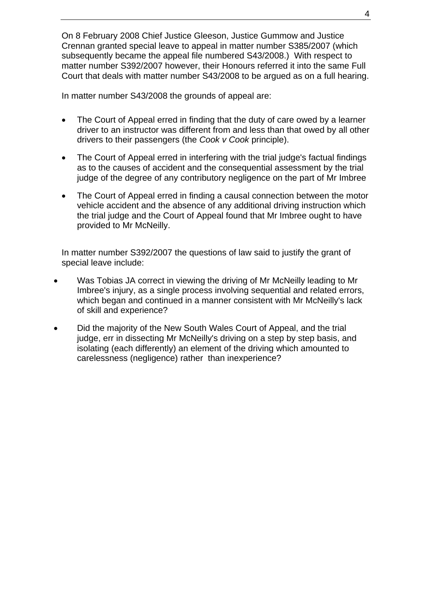On 8 February 2008 Chief Justice Gleeson, Justice Gummow and Justice Crennan granted special leave to appeal in matter number S385/2007 (which subsequently became the appeal file numbered S43/2008.) With respect to matter number S392/2007 however, their Honours referred it into the same Full Court that deals with matter number S43/2008 to be argued as on a full hearing.

In matter number S43/2008 the grounds of appeal are:

- The Court of Appeal erred in finding that the duty of care owed by a learner driver to an instructor was different from and less than that owed by all other drivers to their passengers (the *Cook v Cook* principle).
- The Court of Appeal erred in interfering with the trial judge's factual findings as to the causes of accident and the consequential assessment by the trial judge of the degree of any contributory negligence on the part of Mr Imbree
- The Court of Appeal erred in finding a causal connection between the motor vehicle accident and the absence of any additional driving instruction which the trial judge and the Court of Appeal found that Mr Imbree ought to have provided to Mr McNeilly.

In matter number S392/2007 the questions of law said to justify the grant of special leave include:

- Was Tobias JA correct in viewing the driving of Mr McNeilly leading to Mr Imbree's injury, as a single process involving sequential and related errors, which began and continued in a manner consistent with Mr McNeilly's lack of skill and experience?
- Did the majority of the New South Wales Court of Appeal, and the trial judge, err in dissecting Mr McNeilly's driving on a step by step basis, and isolating (each differently) an element of the driving which amounted to carelessness (negligence) rather than inexperience?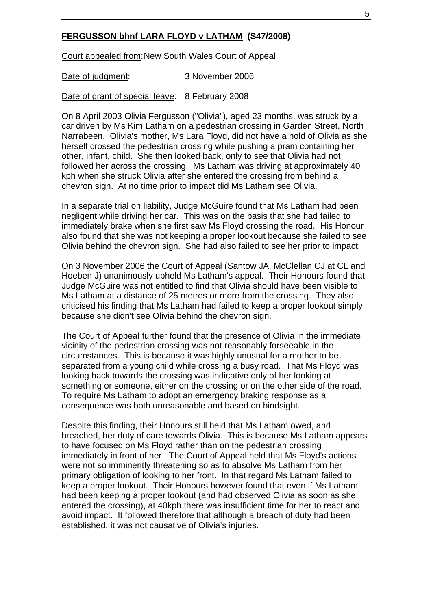#### **FERGUSSON bhnf LARA FLOYD v LATHAM (S47/2008)**

Court appealed from: New South Wales Court of Appeal

#### Date of judgment: 3 November 2006

Date of grant of special leave: 8 February 2008

On 8 April 2003 Olivia Fergusson ("Olivia"), aged 23 months, was struck by a car driven by Ms Kim Latham on a pedestrian crossing in Garden Street, North Narrabeen. Olivia's mother, Ms Lara Floyd, did not have a hold of Olivia as she herself crossed the pedestrian crossing while pushing a pram containing her other, infant, child. She then looked back, only to see that Olivia had not followed her across the crossing. Ms Latham was driving at approximately 40 kph when she struck Olivia after she entered the crossing from behind a chevron sign. At no time prior to impact did Ms Latham see Olivia.

In a separate trial on liability, Judge McGuire found that Ms Latham had been negligent while driving her car. This was on the basis that she had failed to immediately brake when she first saw Ms Floyd crossing the road. His Honour also found that she was not keeping a proper lookout because she failed to see Olivia behind the chevron sign. She had also failed to see her prior to impact.

On 3 November 2006 the Court of Appeal (Santow JA, McClellan CJ at CL and Hoeben J) unanimously upheld Ms Latham's appeal. Their Honours found that Judge McGuire was not entitled to find that Olivia should have been visible to Ms Latham at a distance of 25 metres or more from the crossing. They also criticised his finding that Ms Latham had failed to keep a proper lookout simply because she didn't see Olivia behind the chevron sign.

The Court of Appeal further found that the presence of Olivia in the immediate vicinity of the pedestrian crossing was not reasonably forseeable in the circumstances. This is because it was highly unusual for a mother to be separated from a young child while crossing a busy road. That Ms Floyd was looking back towards the crossing was indicative only of her looking at something or someone, either on the crossing or on the other side of the road. To require Ms Latham to adopt an emergency braking response as a consequence was both unreasonable and based on hindsight.

Despite this finding, their Honours still held that Ms Latham owed, and breached, her duty of care towards Olivia. This is because Ms Latham appears to have focused on Ms Floyd rather than on the pedestrian crossing immediately in front of her. The Court of Appeal held that Ms Floyd's actions were not so imminently threatening so as to absolve Ms Latham from her primary obligation of looking to her front. In that regard Ms Latham failed to keep a proper lookout. Their Honours however found that even if Ms Latham had been keeping a proper lookout (and had observed Olivia as soon as she entered the crossing), at 40kph there was insufficient time for her to react and avoid impact. It followed therefore that although a breach of duty had been established, it was not causative of Olivia's injuries.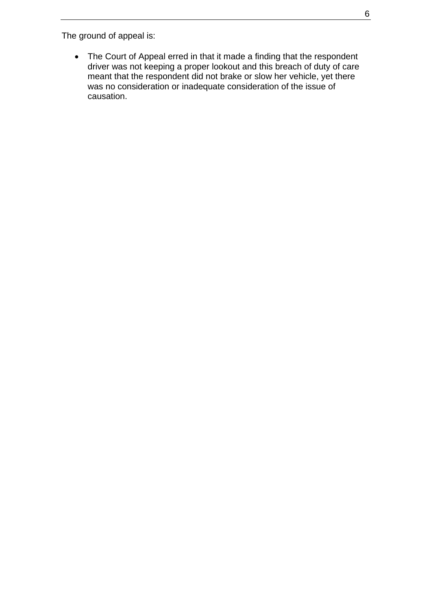The ground of appeal is:

• The Court of Appeal erred in that it made a finding that the respondent driver was not keeping a proper lookout and this breach of duty of care meant that the respondent did not brake or slow her vehicle, yet there was no consideration or inadequate consideration of the issue of causation.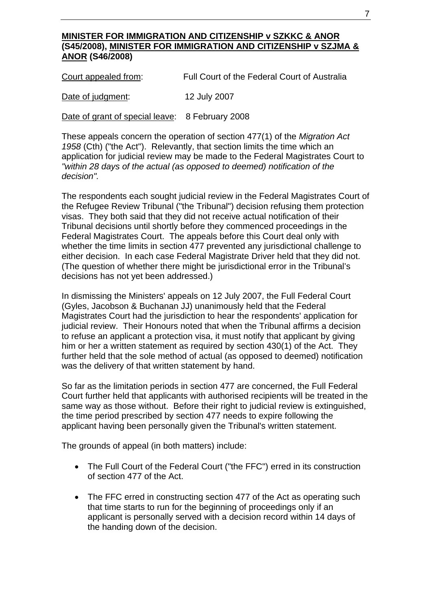#### **MINISTER FOR IMMIGRATION AND CITIZENSHIP v SZKKC & ANOR (S45/2008), MINISTER FOR IMMIGRATION AND CITIZENSHIP v SZJMA & ANOR (S46/2008)**

Court appealed from: Full Court of the Federal Court of Australia

Date of judgment: 12 July 2007

Date of grant of special leave: 8 February 2008

These appeals concern the operation of section 477(1) of the *Migration Act 1958* (Cth) ("the Act"). Relevantly, that section limits the time which an application for judicial review may be made to the Federal Magistrates Court to *"within 28 days of the actual (as opposed to deemed) notification of the decision".*

The respondents each sought judicial review in the Federal Magistrates Court of the Refugee Review Tribunal ("the Tribunal") decision refusing them protection visas. They both said that they did not receive actual notification of their Tribunal decisions until shortly before they commenced proceedings in the Federal Magistrates Court. The appeals before this Court deal only with whether the time limits in section 477 prevented any jurisdictional challenge to either decision. In each case Federal Magistrate Driver held that they did not. (The question of whether there might be jurisdictional error in the Tribunal's decisions has not yet been addressed.)

In dismissing the Ministers' appeals on 12 July 2007, the Full Federal Court (Gyles, Jacobson & Buchanan JJ) unanimously held that the Federal Magistrates Court had the jurisdiction to hear the respondents' application for judicial review. Their Honours noted that when the Tribunal affirms a decision to refuse an applicant a protection visa, it must notify that applicant by giving him or her a written statement as required by section 430(1) of the Act. They further held that the sole method of actual (as opposed to deemed) notification was the delivery of that written statement by hand.

So far as the limitation periods in section 477 are concerned, the Full Federal Court further held that applicants with authorised recipients will be treated in the same way as those without. Before their right to judicial review is extinguished, the time period prescribed by section 477 needs to expire following the applicant having been personally given the Tribunal's written statement.

The grounds of appeal (in both matters) include:

- The Full Court of the Federal Court ("the FFC") erred in its construction of section 477 of the Act.
- The FFC erred in constructing section 477 of the Act as operating such that time starts to run for the beginning of proceedings only if an applicant is personally served with a decision record within 14 days of the handing down of the decision.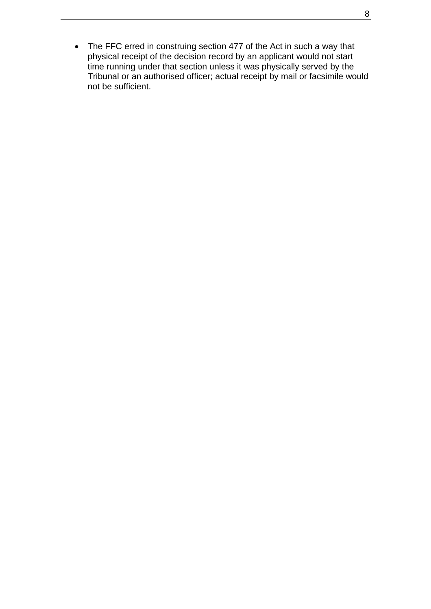• The FFC erred in construing section 477 of the Act in such a way that physical receipt of the decision record by an applicant would not start time running under that section unless it was physically served by the Tribunal or an authorised officer; actual receipt by mail or facsimile would not be sufficient.